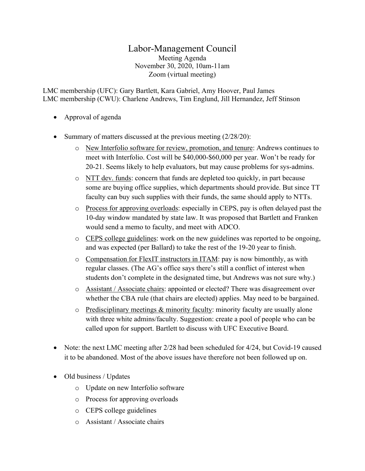## Labor-Management Council

Meeting Agenda November 30, 2020, 10am-11am Zoom (virtual meeting)

LMC membership (UFC): Gary Bartlett, Kara Gabriel, Amy Hoover, Paul James LMC membership (CWU): Charlene Andrews, Tim Englund, Jill Hernandez, Jeff Stinson

- Approval of agenda
- Summary of matters discussed at the previous meeting (2/28/20):
	- o New Interfolio software for review, promotion, and tenure: Andrews continues to meet with Interfolio. Cost will be \$40,000-\$60,000 per year. Won't be ready for 20-21. Seems likely to help evaluators, but may cause problems for sys-admins.
	- $\circ$  NTT dev. funds: concern that funds are depleted too quickly, in part because some are buying office supplies, which departments should provide. But since TT faculty can buy such supplies with their funds, the same should apply to NTTs.
	- $\circ$  Process for approving overloads: especially in CEPS, pay is often delayed past the 10-day window mandated by state law. It was proposed that Bartlett and Franken would send a memo to faculty, and meet with ADCO.
	- o CEPS college guidelines: work on the new guidelines was reported to be ongoing, and was expected (per Ballard) to take the rest of the 19-20 year to finish.
	- $\circ$  Compensation for FlexIT instructors in ITAM: pay is now bimonthly, as with regular classes. (The AG's office says there's still a conflict of interest when students don't complete in the designated time, but Andrews was not sure why.)
	- o Assistant / Associate chairs: appointed or elected? There was disagreement over whether the CBA rule (that chairs are elected) applies. May need to be bargained.
	- o Predisciplinary meetings & minority faculty: minority faculty are usually alone with three white admins/faculty. Suggestion: create a pool of people who can be called upon for support. Bartlett to discuss with UFC Executive Board.
- Note: the next LMC meeting after 2/28 had been scheduled for 4/24, but Covid-19 caused it to be abandoned. Most of the above issues have therefore not been followed up on.
- Old business / Updates
	- o Update on new Interfolio software
	- o Process for approving overloads
	- o CEPS college guidelines
	- o Assistant / Associate chairs